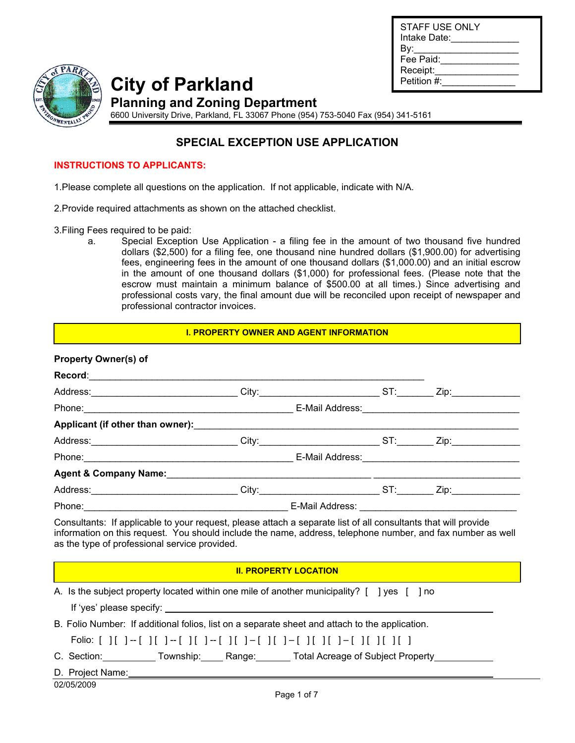| STAFF USE ONLY<br>Intake Date: |
|--------------------------------|
| Bv:                            |
| Fee Paid:                      |
| Receipt:                       |
| Petition #:                    |
|                                |



**City of Parkland Planning and Zoning Department** 

6600 University Drive, Parkland, FL 33067 Phone (954) 753-5040 Fax (954) 341-5161

# **SPECIAL EXCEPTION USE APPLICATION**

#### **INSTRUCTIONS TO APPLICANTS:**

1.Please complete all questions on the application. If not applicable, indicate with N/A.

2.Provide required attachments as shown on the attached checklist.

3.Filing Fees required to be paid:

a. Special Exception Use Application - a filing fee in the amount of two thousand five hundred dollars (\$2,500) for a filing fee, one thousand nine hundred dollars (\$1,900.00) for advertising fees, engineering fees in the amount of one thousand dollars (\$1,000.00) and an initial escrow in the amount of one thousand dollars (\$1,000) for professional fees. (Please note that the escrow must maintain a minimum balance of \$500.00 at all times.) Since advertising and professional costs vary, the final amount due will be reconciled upon receipt of newspaper and professional contractor invoices.

#### **I. PROPERTY OWNER AND AGENT INFORMATION**

#### **Property Owner(s) of**

|                                               | Record: 2008 - 2008 - 2008 - 2008 - 2019 - 2019 - 2019 - 2019 - 2019 - 2019 - 2019 - 2019 - 2019 - 2019 - 201                                                                                                                                                                                                                                                                   |  |
|-----------------------------------------------|---------------------------------------------------------------------------------------------------------------------------------------------------------------------------------------------------------------------------------------------------------------------------------------------------------------------------------------------------------------------------------|--|
|                                               | Address:_______________________________City:__________________________ST:_________Zip:______________                                                                                                                                                                                                                                                                            |  |
|                                               |                                                                                                                                                                                                                                                                                                                                                                                 |  |
|                                               |                                                                                                                                                                                                                                                                                                                                                                                 |  |
|                                               | Address: _______________________________City:__________________________ST:_________Zip:__________________                                                                                                                                                                                                                                                                       |  |
|                                               |                                                                                                                                                                                                                                                                                                                                                                                 |  |
|                                               |                                                                                                                                                                                                                                                                                                                                                                                 |  |
|                                               |                                                                                                                                                                                                                                                                                                                                                                                 |  |
|                                               | Phone: 2008. [2016] Phone: 2016. [2016] Phone: 2016. [2016] Phone: 2016. [2016] Phone: 2016. [2016] Phone: 2016. [2016] Phone: 2016. [2016] Phone: 2016. [2016] Phone: 2016. [2016] Phone: 2016. [2016] Phone: 2016. [2016] Ph                                                                                                                                                  |  |
| as the type of professional service provided. | information on this request. You should include the name, address, telephone number, and fax number as well                                                                                                                                                                                                                                                                     |  |
|                                               | <b>II. PROPERTY LOCATION</b>                                                                                                                                                                                                                                                                                                                                                    |  |
|                                               | A. Is the subject property located within one mile of another municipality? [ ] yes [ ] no<br>If 'yes' please specify: $\sqrt{2}$ and $\sqrt{2}$ and $\sqrt{2}$ and $\sqrt{2}$ and $\sqrt{2}$ and $\sqrt{2}$ and $\sqrt{2}$ and $\sqrt{2}$ and $\sqrt{2}$ and $\sqrt{2}$ and $\sqrt{2}$ and $\sqrt{2}$ and $\sqrt{2}$ and $\sqrt{2}$ and $\sqrt{2}$ and $\sqrt{2}$ and $\sqrt{$ |  |
|                                               | B. Folio Number: If additional folios, list on a separate sheet and attach to the application.                                                                                                                                                                                                                                                                                  |  |
|                                               |                                                                                                                                                                                                                                                                                                                                                                                 |  |
|                                               | C. Section: Township: Range: Total Acreage of Subject Property                                                                                                                                                                                                                                                                                                                  |  |
|                                               |                                                                                                                                                                                                                                                                                                                                                                                 |  |

02/05/2009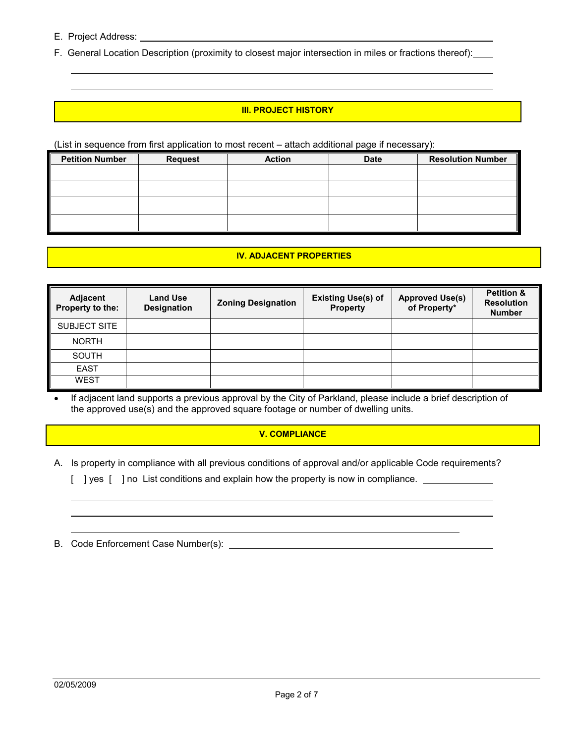E. Project Address:

 $\overline{a}$ 

F. General Location Description (proximity to closest major intersection in miles or fractions thereof):

#### **III. PROJECT HISTORY**

(List in sequence from first application to most recent – attach additional page if necessary):

| <b>Petition Number</b> | <b>Request</b> | <b>Action</b> | <b>Date</b> | <b>Resolution Number</b> |
|------------------------|----------------|---------------|-------------|--------------------------|
|                        |                |               |             |                          |
|                        |                |               |             |                          |
|                        |                |               |             |                          |
|                        |                |               |             |                          |

#### **IV. ADJACENT PROPERTIES**

| Adjacent<br>Property to the: | <b>Land Use</b><br><b>Designation</b> | <b>Zoning Designation</b> | <b>Existing Use(s) of</b><br>Property | <b>Approved Use(s)</b><br>of Property* | <b>Petition &amp;</b><br><b>Resolution</b><br><b>Number</b> |
|------------------------------|---------------------------------------|---------------------------|---------------------------------------|----------------------------------------|-------------------------------------------------------------|
| <b>SUBJECT SITE</b>          |                                       |                           |                                       |                                        |                                                             |
| <b>NORTH</b>                 |                                       |                           |                                       |                                        |                                                             |
| SOUTH                        |                                       |                           |                                       |                                        |                                                             |
| <b>EAST</b>                  |                                       |                           |                                       |                                        |                                                             |
| WEST                         |                                       |                           |                                       |                                        |                                                             |

• If adjacent land supports a previous approval by the City of Parkland, please include a brief description of the approved use(s) and the approved square footage or number of dwelling units.

#### **V. COMPLIANCE**

- A. Is property in compliance with all previous conditions of approval and/or applicable Code requirements?
	- [ ] yes [ ] no List conditions and explain how the property is now in compliance. \_\_\_\_\_\_\_\_\_\_\_\_\_\_\_\_\_
- B. Code Enforcement Case Number(s):

 $\overline{a}$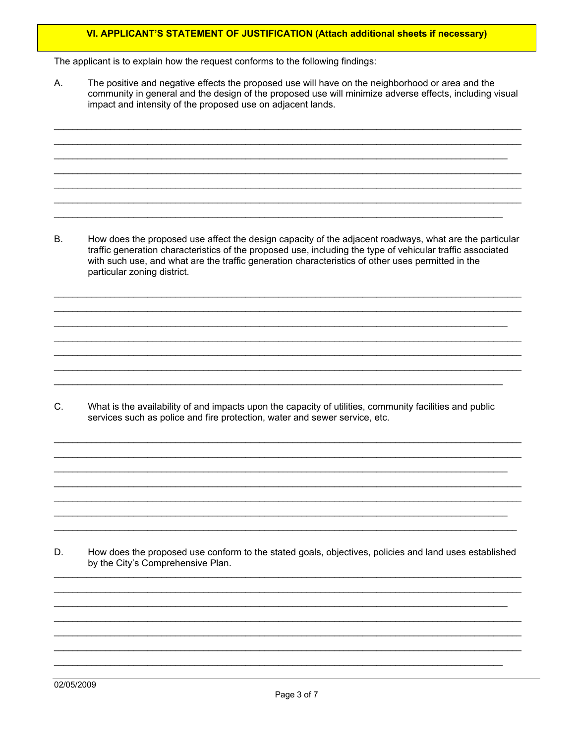#### VI. APPLICANT'S STATEMENT OF JUSTIFICATION (Attach additional sheets if necessary)

The applicant is to explain how the request conforms to the following findings:

А. The positive and negative effects the proposed use will have on the neighborhood or area and the community in general and the design of the proposed use will minimize adverse effects, including visual impact and intensity of the proposed use on adjacent lands.

 $B.$ How does the proposed use affect the design capacity of the adjacent roadways, what are the particular traffic generation characteristics of the proposed use, including the type of vehicular traffic associated with such use, and what are the traffic generation characteristics of other uses permitted in the particular zoning district.

What is the availability of and impacts upon the capacity of utilities, community facilities and public C. services such as police and fire protection, water and sewer service, etc.

D. How does the proposed use conform to the stated goals, objectives, policies and land uses established by the City's Comprehensive Plan.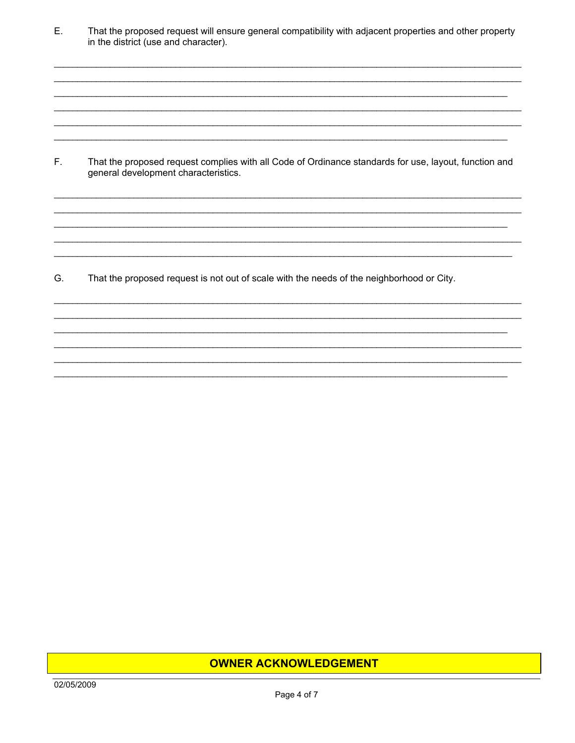E. That the proposed request will ensure general compatibility with adjacent properties and other property in the district (use and character).

F. That the proposed request complies with all Code of Ordinance standards for use, layout, function and general development characteristics.

G. That the proposed request is not out of scale with the needs of the neighborhood or City.

### **OWNER ACKNOWLEDGEMENT**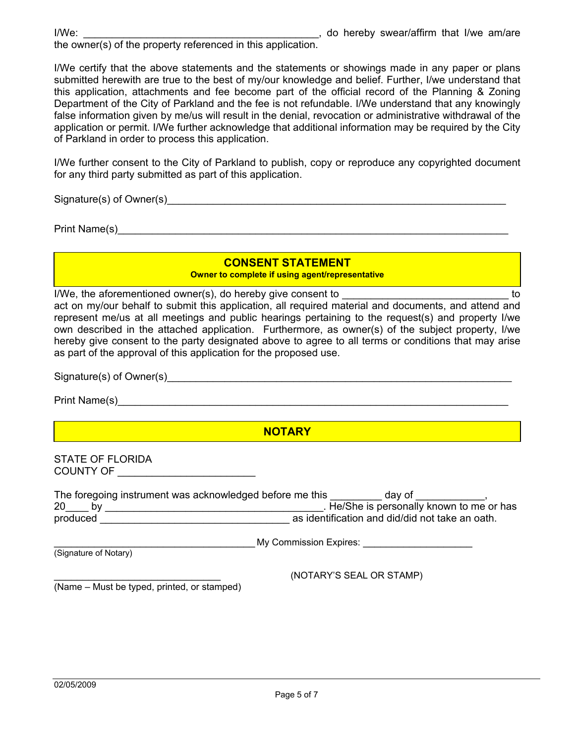the owner(s) of the property referenced in this application.

I/We certify that the above statements and the statements or showings made in any paper or plans submitted herewith are true to the best of my/our knowledge and belief. Further, I/we understand that this application, attachments and fee become part of the official record of the Planning & Zoning Department of the City of Parkland and the fee is not refundable. I/We understand that any knowingly false information given by me/us will result in the denial, revocation or administrative withdrawal of the application or permit. I/We further acknowledge that additional information may be required by the City of Parkland in order to process this application.

I/We further consent to the City of Parkland to publish, copy or reproduce any copyrighted document for any third party submitted as part of this application.

Signature(s) of Owner(s)

Print Name(s)

# **CONSENT STATEMENT**

**Owner to complete if using agent/representative** 

I/We, the aforementioned owner(s), do hereby give consent to  $\blacksquare$ act on my/our behalf to submit this application, all required material and documents, and attend and represent me/us at all meetings and public hearings pertaining to the request(s) and property I/we own described in the attached application. Furthermore, as owner(s) of the subject property, I/we hereby give consent to the party designated above to agree to all terms or conditions that may arise as part of the approval of this application for the proposed use.

Signature(s) of Owner(s)

Print Name(s)

**NOTARY**

STATE OF FLORIDA COUNTY OF \_\_\_\_\_\_\_\_\_\_\_\_\_\_\_\_\_\_\_\_\_\_\_\_

|          | The foregoing instrument was acknowledged before me this | dav of                                          |  |
|----------|----------------------------------------------------------|-------------------------------------------------|--|
| 20       |                                                          | . He/She is personally known to me or has       |  |
| produced |                                                          | as identification and did/did not take an oath. |  |
|          |                                                          |                                                 |  |

\_\_\_\_\_\_\_\_\_\_\_\_\_\_\_\_\_\_\_\_\_\_\_\_\_\_\_\_\_\_\_\_\_\_\_ My Commission Expires: \_\_\_\_\_\_\_\_\_\_\_\_\_\_\_\_\_\_\_ (Signature of Notary)

\_\_\_\_\_\_\_\_\_\_\_\_\_\_\_\_\_\_\_\_\_\_\_\_\_\_\_\_\_ (NOTARY'S SEAL OR STAMP)

(Name – Must be typed, printed, or stamped)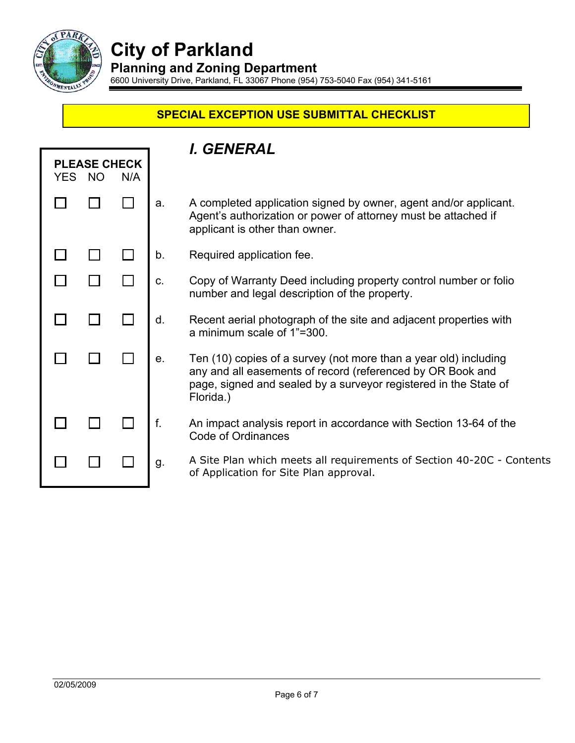

# **City of Parkland**

**Planning and Zoning Department** 

6600 University Drive, Parkland, FL 33067 Phone (954) 753-5040 Fax (954) 341-5161

## **SPECIAL EXCEPTION USE SUBMITTAL CHECKLIST**

|                                      |  |  | I. GENERAL |                                                                                                                                                                                                                 |  |
|--------------------------------------|--|--|------------|-----------------------------------------------------------------------------------------------------------------------------------------------------------------------------------------------------------------|--|
| <b>PLEASE CHECK</b><br>YES NO<br>N/A |  |  |            |                                                                                                                                                                                                                 |  |
|                                      |  |  | a.         | A completed application signed by owner, agent and/or applicant.<br>Agent's authorization or power of attorney must be attached if<br>applicant is other than owner.                                            |  |
|                                      |  |  | b.         | Required application fee.                                                                                                                                                                                       |  |
|                                      |  |  | C.         | Copy of Warranty Deed including property control number or folio<br>number and legal description of the property.                                                                                               |  |
|                                      |  |  | d.         | Recent aerial photograph of the site and adjacent properties with<br>a minimum scale of 1"=300.                                                                                                                 |  |
|                                      |  |  | е.         | Ten (10) copies of a survey (not more than a year old) including<br>any and all easements of record (referenced by OR Book and<br>page, signed and sealed by a surveyor registered in the State of<br>Florida.) |  |
|                                      |  |  | f.         | An impact analysis report in accordance with Section 13-64 of the<br>Code of Ordinances                                                                                                                         |  |
|                                      |  |  | g.         | A Site Plan which meets all requirements of Section 40-20C - Contents<br>of Application for Site Plan approval.                                                                                                 |  |
|                                      |  |  |            |                                                                                                                                                                                                                 |  |